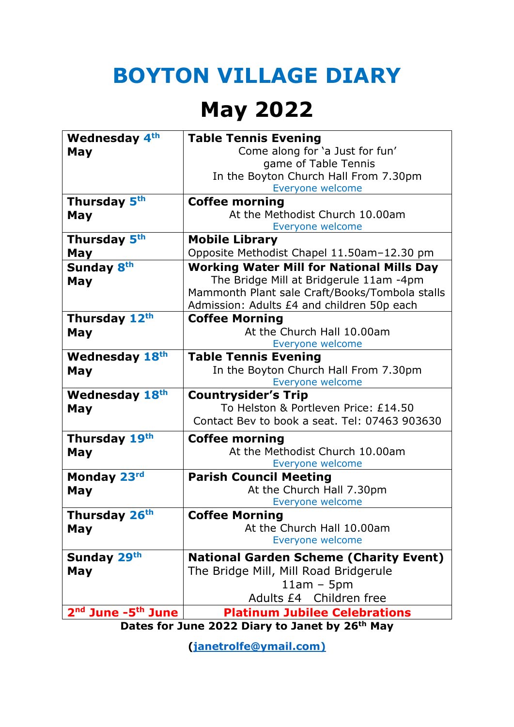#### **BOYTON VILLAGE DIARY**

#### **May 2022**

| <b>Wednesday 4th</b>                           | <b>Table Tennis Evening</b>                         |
|------------------------------------------------|-----------------------------------------------------|
| May                                            | Come along for 'a Just for fun'                     |
|                                                | game of Table Tennis                                |
|                                                | In the Boyton Church Hall From 7.30pm               |
| Thursday 5th                                   | Everyone welcome<br><b>Coffee morning</b>           |
| May                                            | At the Methodist Church 10.00am                     |
|                                                | Everyone welcome                                    |
| Thursday 5th                                   | <b>Mobile Library</b>                               |
| May                                            | Opposite Methodist Chapel 11.50am-12.30 pm          |
| Sunday 8th                                     | <b>Working Water Mill for National Mills Day</b>    |
| May                                            | The Bridge Mill at Bridgerule 11am -4pm             |
|                                                | Mammonth Plant sale Craft/Books/Tombola stalls      |
|                                                | Admission: Adults £4 and children 50p each          |
| Thursday 12th                                  | <b>Coffee Morning</b><br>At the Church Hall 10.00am |
| May                                            | Everyone welcome                                    |
| <b>Wednesday 18th</b>                          | <b>Table Tennis Evening</b>                         |
| May                                            | In the Boyton Church Hall From 7.30pm               |
|                                                | Everyone welcome                                    |
| <b>Wednesday 18th</b>                          | <b>Countrysider's Trip</b>                          |
| May                                            | To Helston & Portleven Price: £14.50                |
|                                                | Contact Bey to book a seat. Tel: 07463 903630       |
| Thursday 19th                                  | <b>Coffee morning</b>                               |
| May                                            | At the Methodist Church 10.00am                     |
|                                                | Everyone welcome                                    |
| Monday 23rd                                    | <b>Parish Council Meeting</b>                       |
| May                                            | At the Church Hall 7.30pm<br>Everyone welcome       |
| Thursday 26 <sup>th</sup>                      | <b>Coffee Morning</b>                               |
| May                                            | At the Church Hall 10.00am                          |
|                                                | Everyone welcome                                    |
| Sunday 29th                                    | <b>National Garden Scheme (Charity Event)</b>       |
| May                                            | The Bridge Mill, Mill Road Bridgerule               |
|                                                | $11am - 5pm$                                        |
|                                                | Adults £4 Children free                             |
| 2 <sup>nd</sup> June -5 <sup>th</sup> June     | <b>Platinum Jubilee Celebrations</b>                |
| Dates for June 2022 Diary to Janet by 26th May |                                                     |

**[\(janetrolfe@ymail.com\)](mailto:janetrolfe@ymail.com)**